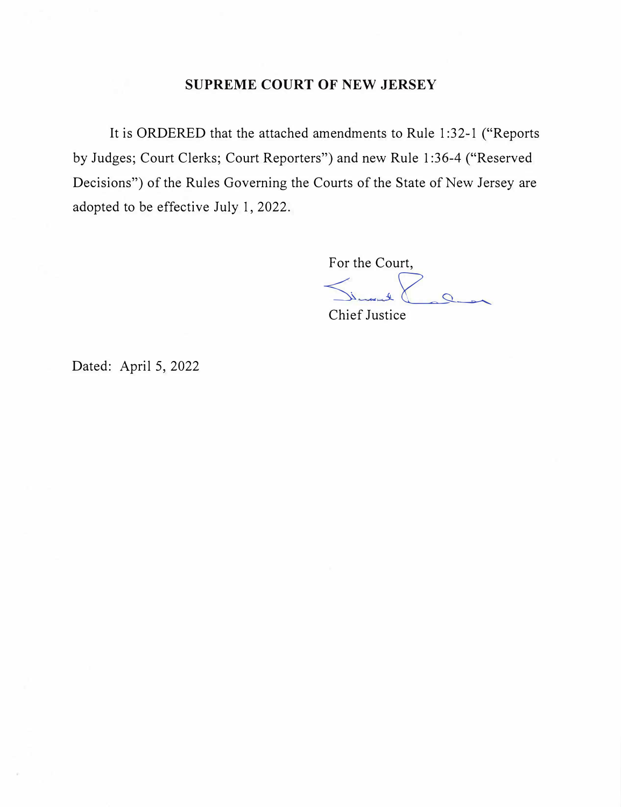## **SUPREME COURT OF NEW JERSEY**

It is ORDERED that the attached amendments to Rule 1 :32-1 ("Reports by Judges; Court Clerks; Court Reporters") and new Rule 1 :36-4 ("Reserved Decisions") of the Rules Governing the Courts of the State of New Jersey are adopted to be effective July 1, 2022.

> For the Court,  $\Omega$

Chief Justice

Dated: April 5, 2022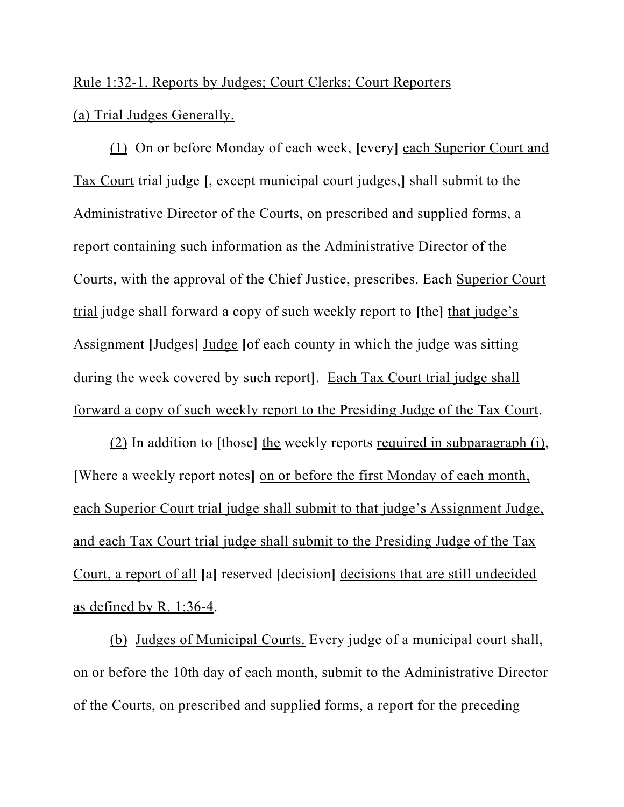## Rule 1:32-1. Reports by Judges; Court Clerks; Court Reporters (a) Trial Judges Generally.

(1) On or before Monday of each week, **[**every**]** each Superior Court and Tax Court trial judge **[**, except municipal court judges,**]** shall submit to the Administrative Director of the Courts, on prescribed and supplied forms, a report containing such information as the Administrative Director of the Courts, with the approval of the Chief Justice, prescribes. Each Superior Court trial judge shall forward a copy of such weekly report to **[**the**]** that judge's Assignment **[**Judges**]** Judge **[**of each county in which the judge was sitting during the week covered by such report**]**. Each Tax Court trial judge shall forward a copy of such weekly report to the Presiding Judge of the Tax Court.

(2) In addition to **[**those**]** the weekly reports required in subparagraph (i), **[**Where a weekly report notes**]** on or before the first Monday of each month, each Superior Court trial judge shall submit to that judge's Assignment Judge, and each Tax Court trial judge shall submit to the Presiding Judge of the Tax Court, a report of all **[**a**]** reserved **[**decision**]** decisions that are still undecided as defined by R. 1:36-4.

(b) Judges of Municipal Courts. Every judge of a municipal court shall, on or before the 10th day of each month, submit to the Administrative Director of the Courts, on prescribed and supplied forms, a report for the preceding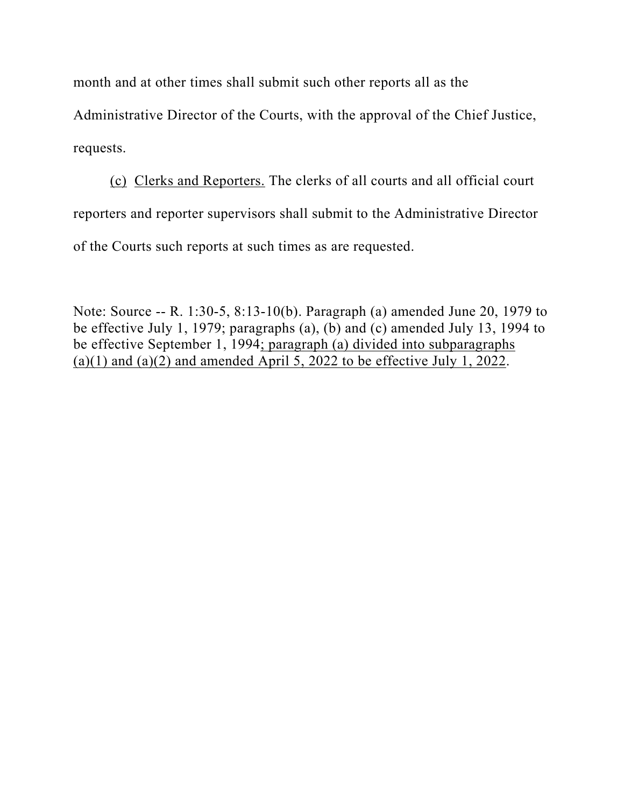month and at other times shall submit such other reports all as the

Administrative Director of the Courts, with the approval of the Chief Justice, requests.

(c) Clerks and Reporters. The clerks of all courts and all official court reporters and reporter supervisors shall submit to the Administrative Director of the Courts such reports at such times as are requested.

Note: Source -- R. 1:30-5, 8:13-10(b). Paragraph (a) amended June 20, 1979 to be effective July 1, 1979; paragraphs (a), (b) and (c) amended July 13, 1994 to be effective September 1, 1994; paragraph (a) divided into subparagraphs (a)(1) and (a)(2) and amended April 5, 2022 to be effective July 1, 2022.